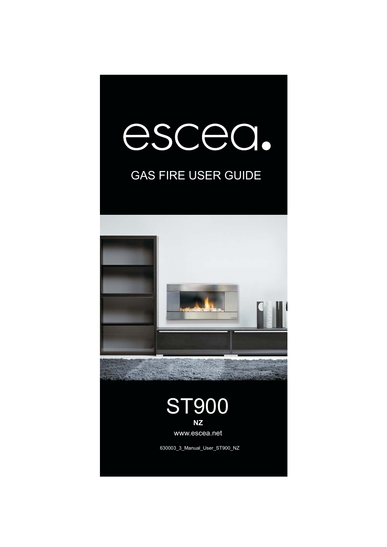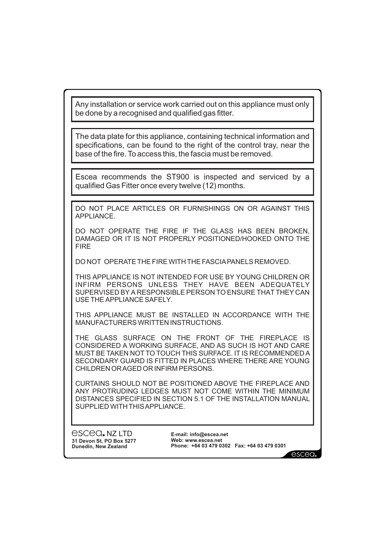Any installation or service work carried out on this appliance must only be done by a recognised and qualified gas fitter.

The data plate for this appliance, containing technical information and specifications, can be found to the right of the control tray, near the base of the fire. To access this, the fascia must be removed.

Escea recommends the ST900 is inspected and serviced by a qualified Gas Fitter once every twelve (12) months.

DO NOT PLACE ARTICLES OR FURNISHINGS ON OR AGAINST THIS APPLIANCE.

DO NOT OPERATE THE FIRE IF THE GLASS HAS BEEN BROKEN, DAMAGED OR IT IS NOT PROPERLY POSITIONED/HOOKED ONTO THE FIRE

DO NOT OPERATE THE FIRE WITH THE FASCIAPANELS REMOVED.

THIS APPLIANCE IS NOT INTENDED FOR USE BY YOUNG CHILDREN OR INFIRM PERSONS UNLESS THEY HAVE BEEN ADEQUATELY SUPERVISED BY A RESPONSIBLE PERSON TO ENSURE THAT THEY CAN USE THE APPLIANCE SAFELY.

THIS APPLIANCE MUST BE INSTALLED IN ACCORDANCE WITH THE MANUFACTURERS WRITTEN INSTRUCTIONS.

THE GLASS SURFACE ON THE FRONT OF THE FIREPLACE IS CONSIDERED A WORKING SURFACE, AND AS SUCH IS HOT AND CARE MUST BE TAKEN NOT TO TOUCH THIS SURFACE. IT IS RECOMMENDED A SECONDARY GUARD IS FITTED IN PLACES WHERE THERE ARE YOUNG CHILDREN ORAGED OR INFIRM PERSONS.

CURTAINS SHOULD NOT BE POSITIONED ABOVE THE FIREPLACE AND ANY PROTRUDING LEDGES MUST NOT COME WITHIN THE MINIMUM DISTANCES SPECIFIED IN SECTION 5.1 OF THE INSTALLATION MANUAL SUPPLIED WITH THISAPPLIANCE.

escea. NZ LTD **31 Devon St, PO Box 5277 Dunedin, New Zealand**

**E-mail: info@escea.net Web: www.escea.net Phone: +64 03 479 0302 Fax: +64 03 479 0301**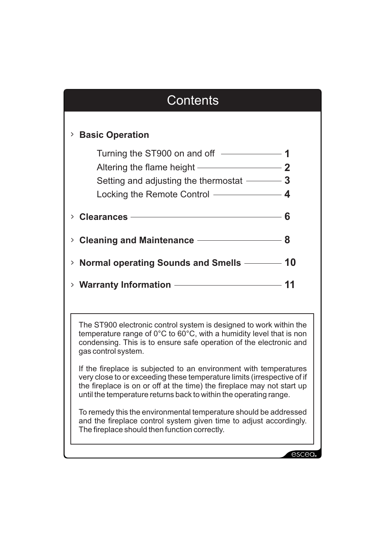# **Contents Basic Operation** > Turning the ST900 on and off  $\overline{\hspace{1em}}$ Altering the flame height —————————— **2** Setting and adjusting the thermostat **3** Locking the Remote Control **4** <sup>&</sup>gt; **Clearances 6** <sup>&</sup>gt; **Cleaning and Maintenance 8** <sup>&</sup>gt; **Normal operating Sounds and Smells 10** <sup>&</sup>gt; **Warranty Information 11** The ST900 electronic control system is designed to work within the temperature range of 0°C to 60°C, with a humidity level that is non condensing. This is to ensure safe operation of the electronic and gas control system. If the fireplace is subjected to an environment with temperatures very close to or exceeding these temperature limits (irrespective of if the fireplace is on or off at the time) the fireplace may not start up until the temperature returns back to within the operating range. To remedy this the environmental temperature should be addressed and the fireplace control system given time to adjust accordingly. The fireplace should then function correctly.escea.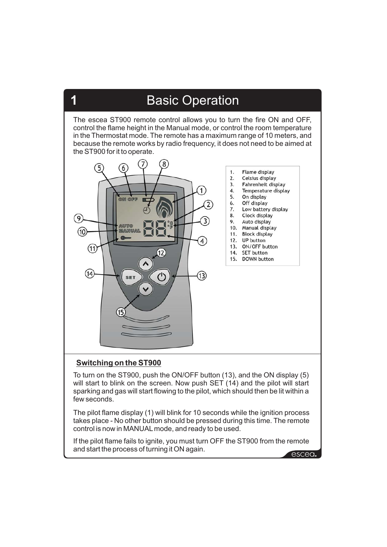The escea ST900 remote control allows you to turn the fire ON and OFF, control the flame height in the Manual mode, or control the room temperature in the Thermostat mode. The remote has a maximum range of 10 meters, and because the remote works by radio frequency, it does not need to be aimed at the ST900 for it to operate.



### **Switching on the ST900**

**1**

To turn on the ST900, push the ON/OFF button (13), and the ON display (5) will start to blink on the screen. Now push SET (14) and the pilot will start sparking and gas will start flowing to the pilot, which should then be lit within a few seconds.

The pilot flame display (1) will blink for 10 seconds while the ignition process takes place - No other button should be pressed during this time. The remote control is now in MANUALmode, and ready to be used.

If the pilot flame fails to ignite, you must turn OFF the ST900 from the remote and start the process of turning it ON again.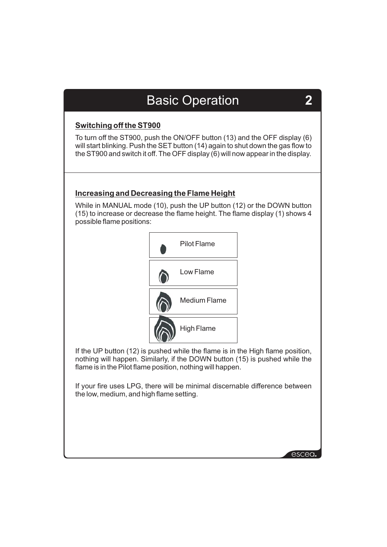### **Switching off the ST900**

To turn off the ST900, push the ON/OFF button (13) and the OFF display (6) will start blinking. Push the SET button (14) again to shut down the gas flow to the ST900 and switch it off. The OFF display (6) will now appear in the display.

### **Increasing and Decreasing the Flame Height**

While in MANUAL mode (10), push the UP button (12) or the DOWN button (15) to increase or decrease the flame height. The flame display (1) shows 4 possible flame positions:



If the UP button (12) is pushed while the flame is in the High flame position, nothing will happen. Similarly, if the DOWN button (15) is pushed while the flame is in the Pilot flame position, nothing will happen.

If your fire uses LPG, there will be minimal discernable difference between the low, medium, and high flame setting.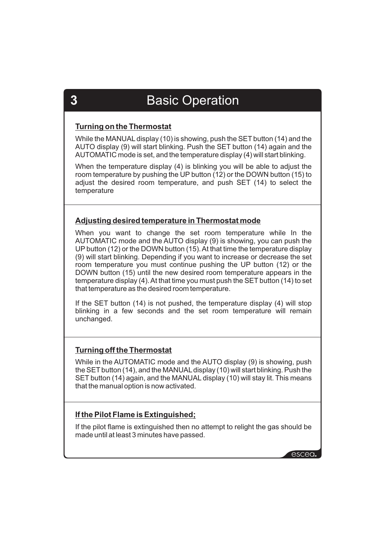### **Turning on the Thermostat**

While the MANUAL display (10) is showing, push the SET button (14) and the AUTO display (9) will start blinking. Push the SET button (14) again and the AUTOMATIC mode is set, and the temperature display (4) will start blinking.

When the temperature display (4) is blinking you will be able to adjust the room temperature by pushing the UP button (12) or the DOWN button (15) to adjust the desired room temperature, and push SET (14) to select the temperature

### **Adjusting desired temperature in Thermostat mode**

When you want to change the set room temperature while In the AUTOMATIC mode and the AUTO display (9) is showing, you can push the UP button (12) or the DOWN button (15).At that time the temperature display (9) will start blinking. Depending if you want to increase or decrease the set room temperature you must continue pushing the UP button (12) or the DOWN button (15) until the new desired room temperature appears in the temperature display (4). At that time you must push the SET button (14) to set that temperature as the desired room temperature.

If the SET button (14) is not pushed, the temperature display (4) will stop blinking in a few seconds and the set room temperature will remain unchanged.

### **Turning off the Thermostat**

While in the AUTOMATIC mode and the AUTO display (9) is showing, push the SET button (14), and the MANUALdisplay (10) will start blinking. Push the SET button (14) again, and the MANUAL display (10) will stay lit. This means that the manual option is now activated.

### **If the Pilot Flame is Extinguished;**

If the pilot flame is extinguished then no attempt to relight the gas should be made until at least 3 minutes have passed.

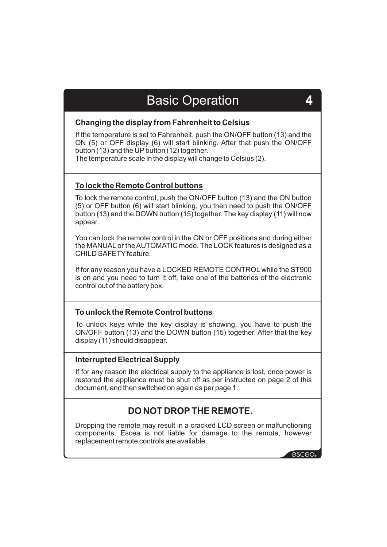### **Changing the display from Fahrenheit to Celsius**

If the temperature is set to Fahrenheit, push the ON/OFF button (13) and the ON (5) or OFF display (6) will start blinking. After that push the ON/OFF button (13) and the UP button (12) together.

The temperature scale in the display will change to Celsius (2).

### **To lock the Remote Control buttons**

To lock the remote control, push the ON/OFF button (13) and the ON button (5) or OFF button (6) will start blinking, you then need to push the ON/OFF button (13) and the DOWN button (15) together. The key display (11) will now appear.

You can lock the remote control in the ON or OFF positions and during either the MANUAL or the AUTOMATIC mode. The LOCK features is designed as a CHILD SAFFTY feature.

If for any reason you have a LOCKED REMOTE CONTROL while the ST900 is on and you need to turn It off, take one of the batteries of the electronic control out of the battery box.

### **To unlock the Remote Control buttons**

To unlock keys while the key display is showing, you have to push the ON/OFF button (13) and the DOWN button (15) together. After that the key display (11) should disappear.

### **Interrupted Electrical Supply**

If for any reason the electrical supply to the appliance is lost, once power is restored the appliance must be shut off as per instructed on page 2 of this document, and then switched on again as per page 1.

### **DO NOT DROP THE REMOTE.**

Dropping the remote may result in a cracked LCD screen or malfunctioning components. Escea is not liable for damage to the remote, however replacement remote controls are available.

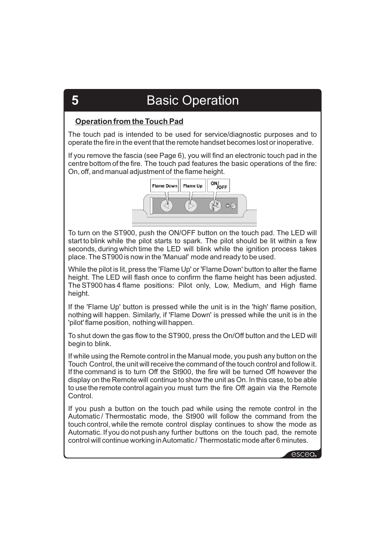### **Operation from the Touch Pad**

The touch pad is intended to be used for service/diagnostic purposes and to operate the fire in the event that the remote handset becomes lost or inoperative.

If you remove the fascia (see Page 6), you will find an electronic touch pad in the centre bottom of the fire. The touch pad features the basic operations of the fire: On, off, and manual adjustment of the flame height.



To turn on the ST900, push the ON/OFF button on the touch pad. The LED will start to blink while the pilot starts to spark. The pilot should be lit within a few seconds, during which time the LED will blink while the ignition process takes place. The ST900 is now in the 'Manual' mode and ready to be used.

While the pilot is lit, press the 'Flame Up' or 'Flame Down' button to alter the flame height. The LED will flash once to confirm the flame height has been adjusted. The ST900 has 4 flame positions: Pilot only, Low, Medium, and High flame height.

If the 'Flame Up' button is pressed while the unit is in the 'high' flame position, nothing will happen. Similarly, if 'Flame Down' is pressed while the unit is in the 'pilot' flame position, nothing will happen.

To shut down the gas flow to the ST900, press the On/Off button and the LED will begin to blink.

If while using the Remote control in the Manual mode, you push any button on the Touch Control, the unit will receive the command of the touch control and follow it. If the command is to turn Off the St900, the fire will be turned Off however the display on the Remote will continue to show the unit as On. In this case, to be able to use the remote control again you must turn the fire Off again via the Remote **Control** 

If you push a button on the touch pad while using the remote control in the Automatic / Thermostatic mode, the St900 will follow the command from the touch control, while the remote control display continues to show the mode as Automatic. If you do not push any further buttons on the touch pad, the remote control will continue working inAutomatic / Thermostatic mode after 6 minutes.

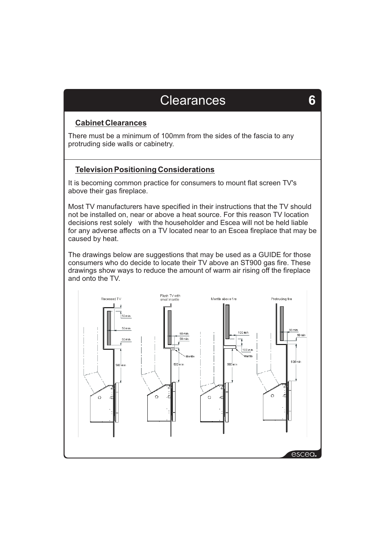### **Clearances**

**6**

### **Cabinet Clearances**

There must be a minimum of 100mm from the sides of the fascia to any protruding side walls or cabinetry.

### **Television Positioning Considerations**

It is becoming common practice for consumers to mount flat screen TV's above their gas fireplace.

Most TV manufacturers have specified in their instructions that the TV should not be installed on, near or above a heat source. For this reason TV location decisions rest solely with the householder and Escea will not be held liable for any adverse affects on a TV located near to an Escea fireplace that may be caused by heat.

The drawings below are suggestions that may be used as a GUIDE for those consumers who do decide to locate their TV above an ST900 gas fire. These drawings show ways to reduce the amount of warm air rising off the fireplace and onto the TV.

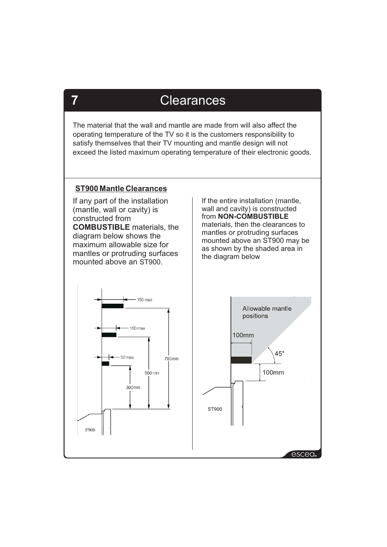### **Clearances**

The material that the wall and mantle are made from will also affect the operating temperature of the TV so it is the customers responsibility to satisfy themselves that their TV mounting and mantle design will not exceed the listed maximum operating temperature of their electronic goods.

### **ST900 Mantle Clearances**

If any part of the installation (mantle, wall or cavity) is constructed from **COMBUSTIBLE** materials, the diagram below shows the maximum allowable size for mantles or protruding surfaces mounted above an ST900.

If the entire installation (mantle, wall and cavity) is constructed from **NON-COMBUSTIBLE** materials, then the clearances to mantles or protruding surfaces mounted above an ST900 may be as shown by the shaded area in the diagram below





**7**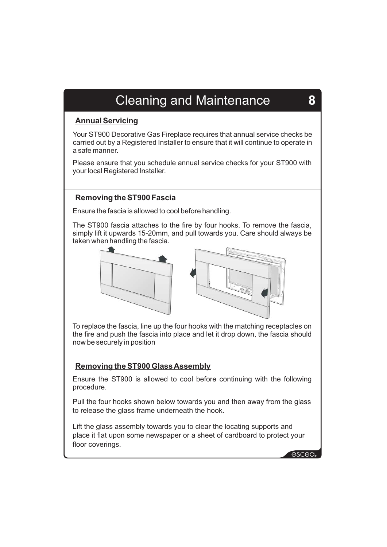# Cleaning and Maintenance **8**

### **Annual Servicing**

Your ST900 Decorative Gas Fireplace requires that annual service checks be carried out by a Registered Installer to ensure that it will continue to operate in a safe manner.

Please ensure that you schedule annual service checks for your ST900 with your local Registered Installer.

### **Removing the ST900 Fascia**

Ensure the fascia is allowed to cool before handling.

The ST900 fascia attaches to the fire by four hooks. To remove the fascia, simply lift it upwards 15-20mm, and pull towards you. Care should always be taken when handling the fascia.





To replace the fascia, line up the four hooks with the matching receptacles on the fire and push the fascia into place and let it drop down, the fascia should now be securely in position

### **Removing the ST900 Glass Assembly**

Ensure the ST900 is allowed to cool before continuing with the following procedure.

Pull the four hooks shown below towards you and then away from the glass to release the glass frame underneath the hook.

Lift the glass assembly towards you to clear the locating supports and place it flat upon some newspaper or a sheet of cardboard to protect your floor coverings.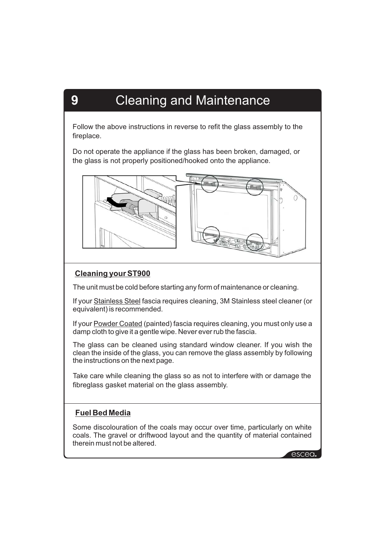# **9** Cleaning and Maintenance

Follow the above instructions in reverse to refit the glass assembly to the fireplace.

Do not operate the appliance if the glass has been broken, damaged, or the glass is not properly positioned/hooked onto the appliance.



### **Cleaning your ST900**

The unit must be cold before starting any form of maintenance or cleaning.

If your Stainless Steel fascia requires cleaning, 3M Stainless steel cleaner (or equivalent) is recommended.

If your **Powder Coated** (painted) fascia requires cleaning, you must only use a damp cloth to give it a gentle wipe. Never ever rub the fascia.

The glass can be cleaned using standard window cleaner. If you wish the clean the inside of the glass, you can remove the glass assembly by following the instructions on the next page.

Take care while cleaning the glass so as not to interfere with or damage the fibreglass gasket material on the glass assembly.

### **Fuel Bed Media**

Some discolouration of the coals may occur over time, particularly on white coals. The gravel or driftwood layout and the quantity of material contained therein must not be altered.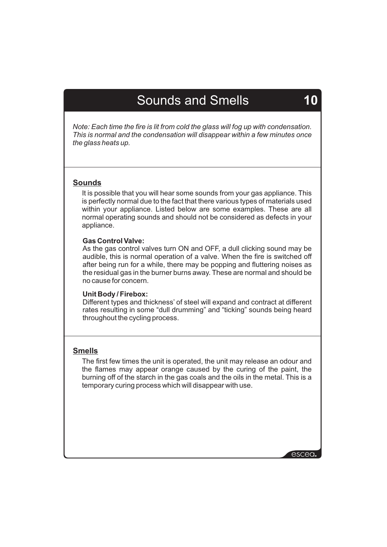## Sounds and Smells **10**

*Note: Each time the fire is lit from cold the glass will fog up with condensation. This is normal and the condensation will disappear within a few minutes once the glass heats up.*

### **Sounds**

It is possible that you will hear some sounds from your gas appliance. This is perfectly normal due to the fact that there various types of materials used within your appliance. Listed below are some examples. These are all normal operating sounds and should not be considered as defects in your appliance.

### **Gas Control Valve:**

As the gas control valves turn ON and OFF, a dull clicking sound may be audible, this is normal operation of a valve. When the fire is switched off after being run for a while, there may be popping and fluttering noises as the residual gas in the burner burns away. These are normal and should be no cause for concern.

#### **Unit Body / Firebox:**

Different types and thickness' of steel will expand and contract at different rates resulting in some "dull drumming" and "ticking" sounds being heard throughout the cycling process.

### **Smells**

The first few times the unit is operated, the unit may release an odour and the flames may appear orange caused by the curing of the paint, the burning off of the starch in the gas coals and the oils in the metal. This is a temporary curing process which will disappear with use.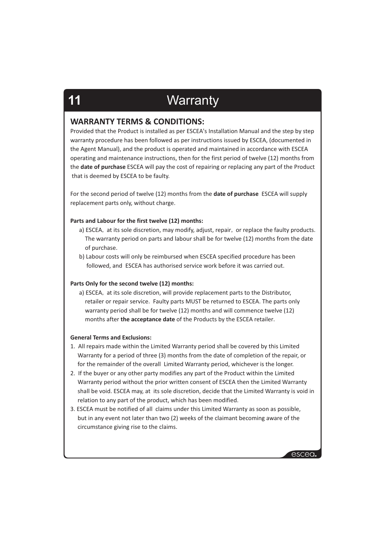# **11** Warranty

### **WARRANTY TERMS & CONDITIONS:**

Provided that the Product is installed as per ESCEA's Installation Manual and the step by step warranty procedure has been followed as per instructions issued by ESCEA, (documented in the Agent Manual), and the product is operated and maintained in accordance with ESCEA operating and maintenance instructions, then for the first period of twelve (12) months from the **date of purchase** ESCEA will pay the cost of repairing or replacing any part of the Product that is deemed by ESCEA to be faulty.

For the second period of twelve (12) months from the **date of purchase** ESCEA will supply replacement parts only, without charge.

#### **Parts and Labour for the first twelve (12) months:**

- a) ESCEA, at its sole discretion, may modify, adjust, repair, or replace the faulty products. The warranty period on parts and labour shall be for twelve (12) months from the date of purchase.
- b) Labour costs will only be reimbursed when ESCEA specified procedure has been followed, and ESCEA has authorised service work before it was carried out.

#### **Parts Only for the second twelve (12) months:**

a) ESCEA, at its sole discretion, will provide replacement parts to the Distributor, retailer or repair service. Faulty parts MUST be returned to ESCEA. The parts only warranty period shall be for twelve (12) months and will commence twelve (12) months after **the acceptance date** of the Products by the ESCEA retailer.

#### **General Terms and Exclusions:**

- 1. All repairs made within the Limited Warranty period shall be covered by this Limited Warranty for a period of three (3) months from the date of completion of the repair, or for the remainder of the overall Limited Warranty period, whichever is the longer.
- 2. If the buyer or any other party modifies any part of the Product within the Limited Warranty period without the prior written consent of ESCEA then the Limited Warranty shall be void. ESCEA may, at its sole discretion, decide that the Limited Warranty is void in relation to any part of the product, which has been modified.
- 3. ESCEA must be notified of all claims under this Limited Warranty as soon as possible, but in any event not later than two (2) weeks of the claimant becoming aware of the circumstance giving rise to the claims.